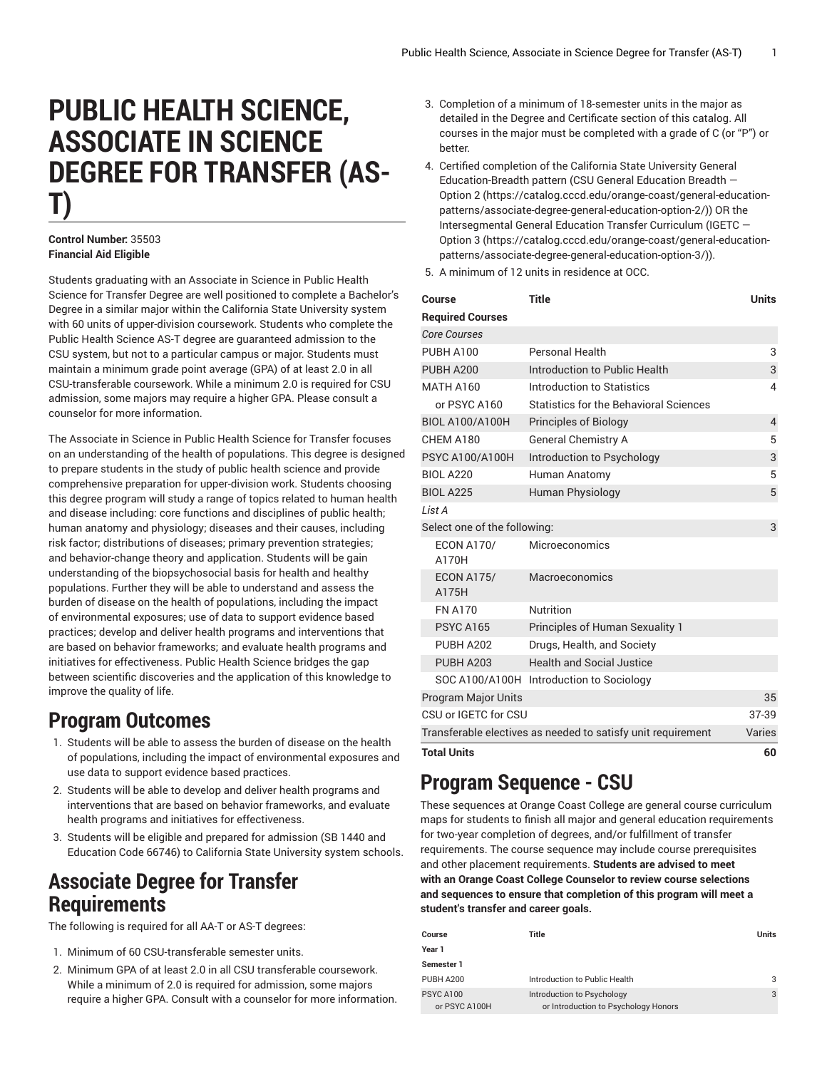# **PUBLIC HEALTH SCIENCE, ASSOCIATE IN SCIENCE DEGREE FOR TRANSFER (AS-T)**

#### **Control Number:** 35503 **Financial Aid Eligible**

Students graduating with an Associate in Science in Public Health Science for Transfer Degree are well positioned to complete a Bachelor's Degree in a similar major within the California State University system with 60 units of upper-division coursework. Students who complete the Public Health Science AS-T degree are guaranteed admission to the CSU system, but not to a particular campus or major. Students must maintain a minimum grade point average (GPA) of at least 2.0 in all CSU-transferable coursework. While a minimum 2.0 is required for CSU admission, some majors may require a higher GPA. Please consult a counselor for more information.

The Associate in Science in Public Health Science for Transfer focuses on an understanding of the health of populations. This degree is designed to prepare students in the study of public health science and provide comprehensive preparation for upper-division work. Students choosing this degree program will study a range of topics related to human health and disease including: core functions and disciplines of public health; human anatomy and physiology; diseases and their causes, including risk factor; distributions of diseases; primary prevention strategies; and behavior-change theory and application. Students will be gain understanding of the biopsychosocial basis for health and healthy populations. Further they will be able to understand and assess the burden of disease on the health of populations, including the impact of environmental exposures; use of data to support evidence based practices; develop and deliver health programs and interventions that are based on behavior frameworks; and evaluate health programs and initiatives for effectiveness. Public Health Science bridges the gap between scientific discoveries and the application of this knowledge to improve the quality of life.

### **Program Outcomes**

- 1. Students will be able to assess the burden of disease on the health of populations, including the impact of environmental exposures and use data to support evidence based practices.
- 2. Students will be able to develop and deliver health programs and interventions that are based on behavior frameworks, and evaluate health programs and initiatives for effectiveness.
- 3. Students will be eligible and prepared for admission (SB 1440 and Education Code 66746) to California State University system schools.

### **Associate Degree for Transfer Requirements**

The following is required for all AA-T or AS-T degrees:

- 1. Minimum of 60 CSU-transferable semester units.
- 2. Minimum GPA of at least 2.0 in all CSU transferable coursework. While a minimum of 2.0 is required for admission, some majors require a higher GPA. Consult with a counselor for more information.
- 3. Completion of a minimum of 18-semester units in the major as detailed in the Degree and Certificate section of this catalog. All courses in the major must be completed with a grade of C (or "P") or better.
- 4. Certified completion of the California State University General Education-Breadth pattern (CSU General [Education](https://catalog.cccd.edu/orange-coast/general-education-patterns/associate-degree-general-education-option-2/) Breadth — [Option 2 \(https://catalog.cccd.edu/orange-coast/general-education](https://catalog.cccd.edu/orange-coast/general-education-patterns/associate-degree-general-education-option-2/)[patterns/associate-degree-general-education-option-2/](https://catalog.cccd.edu/orange-coast/general-education-patterns/associate-degree-general-education-option-2/))) OR the Intersegmental General Education Transfer Curriculum [\(IGETC](https://catalog.cccd.edu/orange-coast/general-education-patterns/associate-degree-general-education-option-3/) — [Option 3 \(https://catalog.cccd.edu/orange-coast/general-education](https://catalog.cccd.edu/orange-coast/general-education-patterns/associate-degree-general-education-option-3/)[patterns/associate-degree-general-education-option-3/](https://catalog.cccd.edu/orange-coast/general-education-patterns/associate-degree-general-education-option-3/))).
- 5. A minimum of 12 units in residence at OCC.

| Course                       | <b>Title</b>                                                 | <b>Units</b>   |
|------------------------------|--------------------------------------------------------------|----------------|
| <b>Required Courses</b>      |                                                              |                |
| <b>Core Courses</b>          |                                                              |                |
| <b>PUBH A100</b>             | <b>Personal Health</b>                                       | 3              |
| <b>PUBH A200</b>             | Introduction to Public Health                                | 3              |
| <b>MATH A160</b>             | Introduction to Statistics                                   | 4              |
| or PSYC A160                 | Statistics for the Behavioral Sciences                       |                |
| BIOL A100/A100H              | <b>Principles of Biology</b>                                 | $\overline{4}$ |
| CHEM A180                    | <b>General Chemistry A</b>                                   | 5              |
| <b>PSYC A100/A100H</b>       | Introduction to Psychology                                   | 3              |
| <b>BIOL A220</b>             | Human Anatomy                                                | 5              |
| <b>BIOL A225</b>             | <b>Human Physiology</b>                                      | 5              |
| List A                       |                                                              |                |
| Select one of the following: |                                                              | 3              |
| <b>ECON A170/</b><br>A170H   | Microeconomics                                               |                |
| <b>ECON A175/</b><br>A175H   | Macroeconomics                                               |                |
| <b>FN A170</b>               | <b>Nutrition</b>                                             |                |
| <b>PSYC A165</b>             | Principles of Human Sexuality 1                              |                |
| <b>PUBH A202</b>             | Drugs, Health, and Society                                   |                |
| <b>PUBH A203</b>             | <b>Health and Social Justice</b>                             |                |
|                              | SOC A100/A100H Introduction to Sociology                     |                |
| <b>Program Major Units</b>   |                                                              | 35             |
| CSU or IGETC for CSU         |                                                              | 37-39          |
|                              | Transferable electives as needed to satisfy unit requirement | Varies         |
| <b>Total Units</b>           |                                                              | 60             |

# **Program Sequence - CSU**

These sequences at Orange Coast College are general course curriculum maps for students to finish all major and general education requirements for two-year completion of degrees, and/or fulfillment of transfer requirements. The course sequence may include course prerequisites and other placement requirements. **Students are advised to meet with an Orange Coast College Counselor to review course selections and sequences to ensure that completion of this program will meet a student's transfer and career goals.**

| Course                            | Title                                                              | Units |
|-----------------------------------|--------------------------------------------------------------------|-------|
| Year 1                            |                                                                    |       |
| Semester 1                        |                                                                    |       |
| PUBH A200                         | Introduction to Public Health                                      | 3     |
| <b>PSYC A100</b><br>or PSYC A100H | Introduction to Psychology<br>or Introduction to Psychology Honors | 3     |